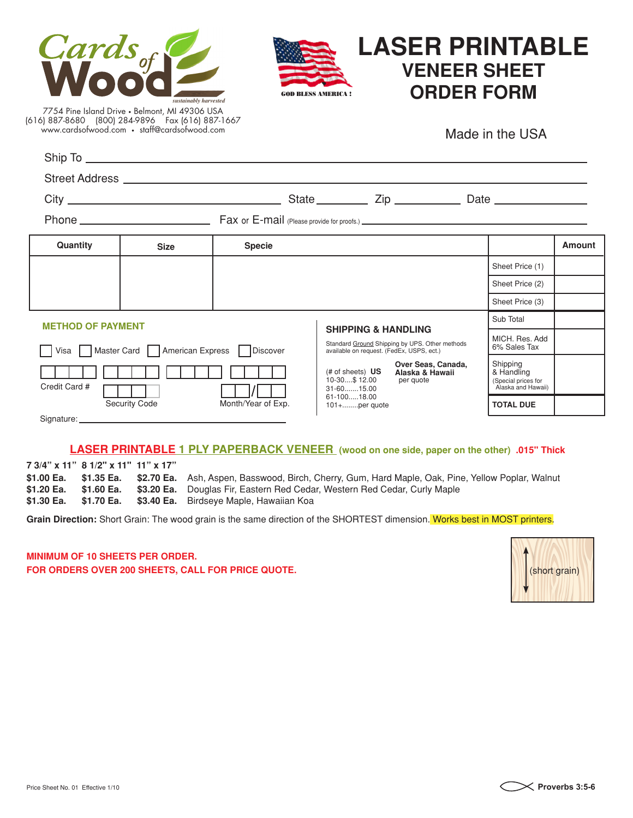



# **LASER PRINTABLE VENEER SHEET** GOD BLESS AMERICA ! **ORDER FORM**

7754 Pine Island Drive • Belmont, MI 49306 USA (616) 887-8680 (800) 284-9896 Fax (616) 887-1667 www.cardsofwood.com • staff@cardsofwood.com

Made in the USA

| Street Address <b>Constantine Construction</b>                                                                                            |                    |                                                                                                         |                                                                     |
|-------------------------------------------------------------------------------------------------------------------------------------------|--------------------|---------------------------------------------------------------------------------------------------------|---------------------------------------------------------------------|
|                                                                                                                                           |                    |                                                                                                         |                                                                     |
|                                                                                                                                           |                    |                                                                                                         |                                                                     |
| Quantity<br><b>Size</b>                                                                                                                   | <b>Specie</b>      |                                                                                                         | Amount                                                              |
|                                                                                                                                           |                    |                                                                                                         | Sheet Price (1)                                                     |
|                                                                                                                                           |                    |                                                                                                         | Sheet Price (2)                                                     |
|                                                                                                                                           |                    |                                                                                                         | Sheet Price (3)                                                     |
| <b>METHOD OF PAYMENT</b><br><b>SHIPPING &amp; HANDLING</b>                                                                                |                    |                                                                                                         | Sub Total                                                           |
| Standard Ground Shipping by UPS. Other methods<br>Visa Master Card American Express Discover<br>available on request. (FedEx, USPS, ect.) |                    | MICH. Res. Add<br>6% Sales Tax                                                                          |                                                                     |
| Credit Card #                                                                                                                             |                    | Over Seas, Canada,<br>$#$ of sheets) $US$<br>Alaska & Hawaii<br>10-30\$12.00<br>per quote<br>31-6015.00 | Shipping<br>& Handling<br>(Special prices for<br>Alaska and Hawaii) |
| <b>Security Code</b>                                                                                                                      | Month/Year of Exp. | 61-10018.00<br>$101 + \ldots$ per quote                                                                 | <b>TOTAL DUE</b>                                                    |

### **LASER PRINTABLE 1 PLY PAPERBACK VENEER (wood on one side, paper on the other) .015" Thick**

**7 3/4" x 11" 8 1/2" x 11" 11" x 17" \$1.00 Ea. \$1.35 Ea. \$2.70 Ea.** Ash, Aspen, Basswood, Birch, Cherry, Gum, Hard Maple, Oak, Pine, Yellow Poplar, Walnut **\$1.20 Ea. \$1.60 Ea. \$3.20 Ea.** Douglas Fir, Eastern Red Cedar, Western Red Cedar, Curly Maple **\$1.30 Ea. \$1.70 Ea. \$3.40 Ea.** Birdseye Maple, Hawaiian Koa

Grain Direction: Short Grain: The wood grain is the same direction of the SHORTEST dimension. Works best in MOST printers.

**MINIMUM OF 10 SHEETS PER ORDER. FOR ORDERS OVER 200 SHEETS, CALL FOR PRICE QUOTE.**